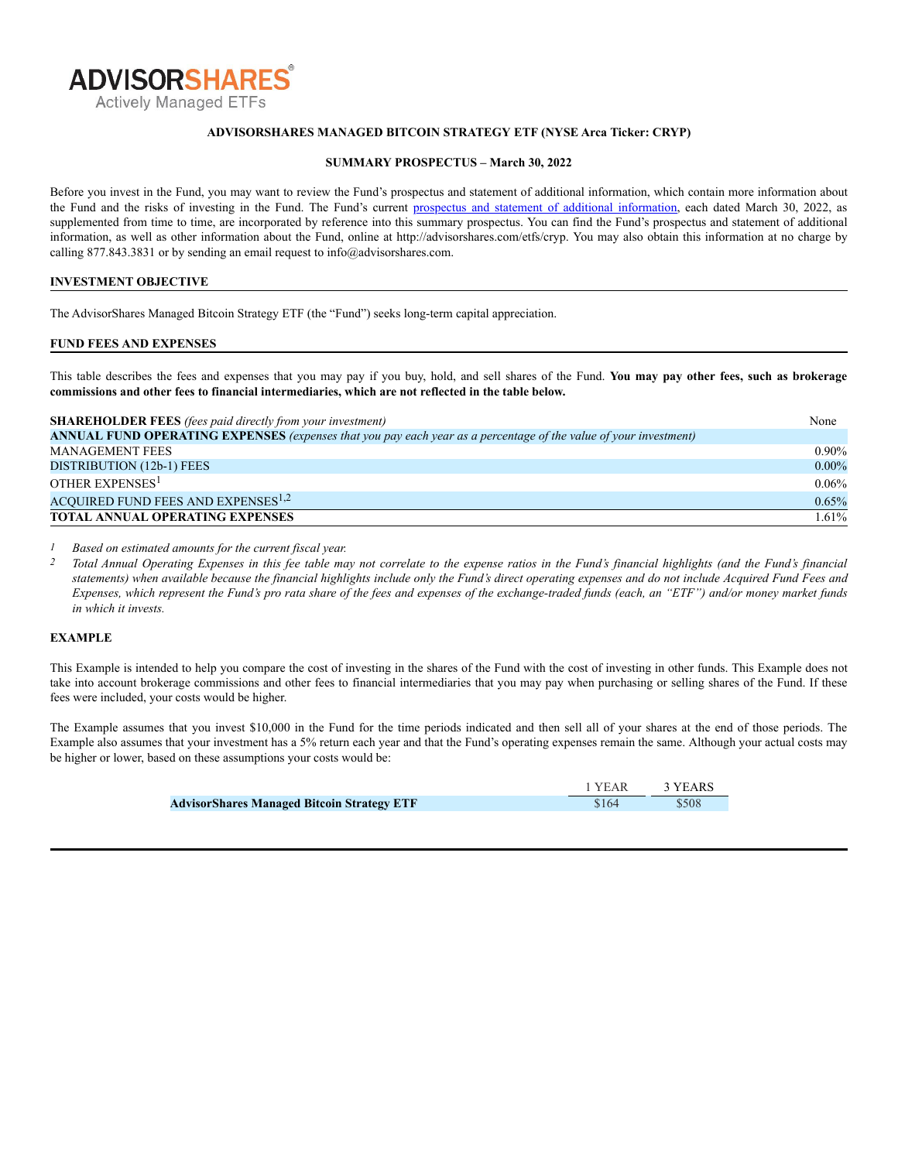

# **ADVISORSHARES MANAGED BITCOIN STRATEGY ETF (NYSE Arca Ticker: CRYP)**

### **SUMMARY PROSPECTUS – March 30, 2022**

Before you invest in the Fund, you may want to review the Fund's prospectus and statement of additional information, which contain more information about the Fund and the risks of investing in the Fund. The Fund's current prospectus and statement of additional [information](https://www.sec.gov/ix?doc=/Archives/edgar/data/1408970/000182912622007011/advisorshares_485bpos.htm), each dated March 30, 2022, as supplemented from time to time, are incorporated by reference into this summary prospectus. You can find the Fund's prospectus and statement of additional information, as well as other information about the Fund, online at http://advisorshares.com/etfs/cryp. You may also obtain this information at no charge by calling 877.843.3831 or by sending an email request to info@advisorshares.com.

### **INVESTMENT OBJECTIVE**

The AdvisorShares Managed Bitcoin Strategy ETF (the "Fund") seeks long-term capital appreciation.

### **FUND FEES AND EXPENSES**

This table describes the fees and expenses that you may pay if you buy, hold, and sell shares of the Fund. **You may pay other fees, such as brokerage commissions and other fees to financial intermediaries, which are not reflected in the table below.**

| <b>SHAREHOLDER FEES</b> (fees paid directly from your investment)                                                | None     |
|------------------------------------------------------------------------------------------------------------------|----------|
| ANNUAL FUND OPERATING EXPENSES (expenses that you pay each year as a percentage of the value of your investment) |          |
| <b>MANAGEMENT FEES</b>                                                                                           | $0.90\%$ |
| DISTRIBUTION (12b-1) FEES                                                                                        | $0.00\%$ |
| OTHER EXPENSES <sup>1</sup>                                                                                      | $0.06\%$ |
| ACQUIRED FUND FEES AND EXPENSES <sup>1,2</sup>                                                                   | 0.65%    |
| <b>TOTAL ANNUAL OPERATING EXPENSES</b>                                                                           | 1.61%    |

*1 Based on estimated amounts for the current fiscal year.*

<sup>2</sup> Total Annual Operating Expenses in this fee table may not correlate to the expense ratios in the Fund's financial highlights (and the Fund's financial statements) when available because the financial highlights include only the Fund's direct operating expenses and do not include Acquired Fund Fees and Expenses, which represent the Fund's pro rata share of the fees and expenses of the exchange-traded funds (each, an "ETF") and/or money market funds *in which it invests.*

# **EXAMPLE**

This Example is intended to help you compare the cost of investing in the shares of the Fund with the cost of investing in other funds. This Example does not take into account brokerage commissions and other fees to financial intermediaries that you may pay when purchasing or selling shares of the Fund. If these fees were included, your costs would be higher.

The Example assumes that you invest \$10,000 in the Fund for the time periods indicated and then sell all of your shares at the end of those periods. The Example also assumes that your investment has a 5% return each year and that the Fund's operating expenses remain the same. Although your actual costs may be higher or lower, based on these assumptions your costs would be:

|                                                   | i YEAR | 3 YEARS |
|---------------------------------------------------|--------|---------|
| <b>AdvisorShares Managed Bitcoin Strategy ETF</b> | \$164  | \$508   |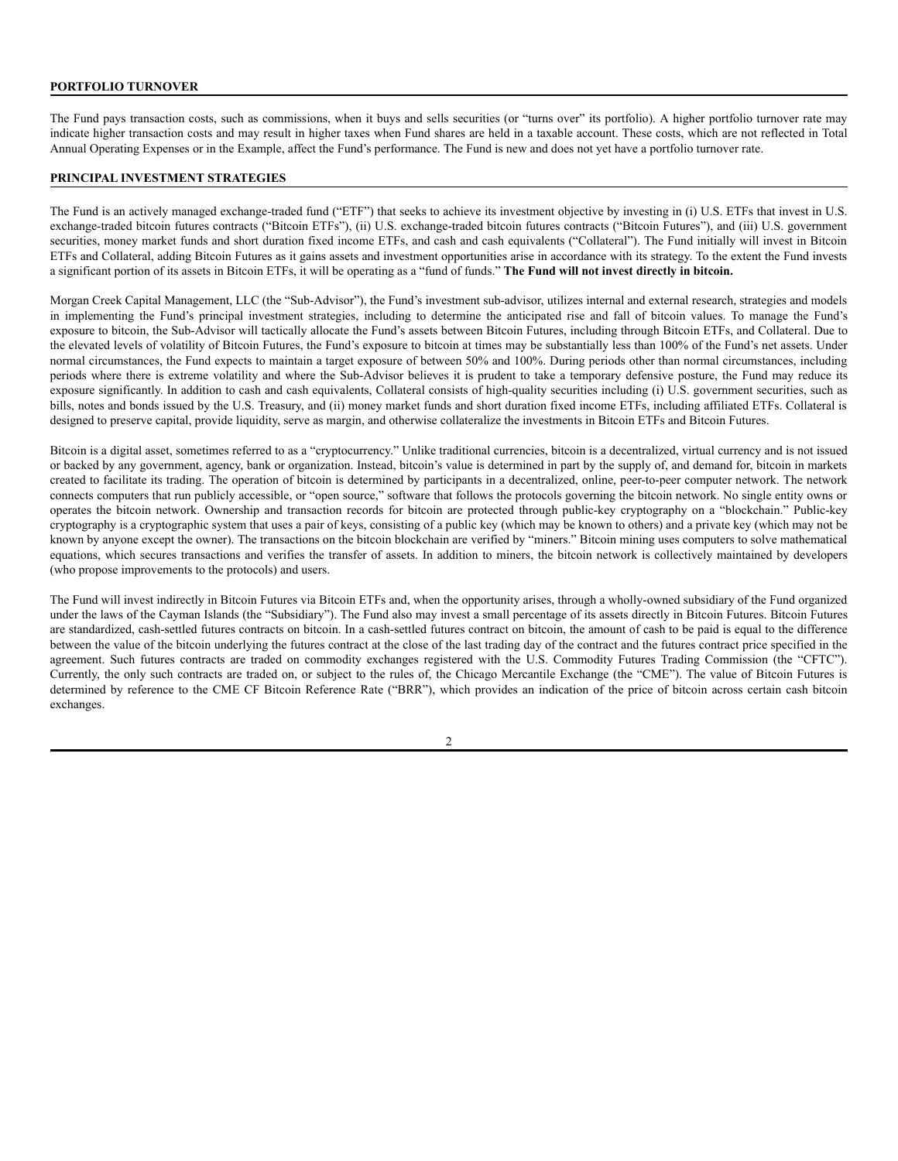#### **PORTFOLIO TURNOVER**

The Fund pays transaction costs, such as commissions, when it buys and sells securities (or "turns over" its portfolio). A higher portfolio turnover rate may indicate higher transaction costs and may result in higher taxes when Fund shares are held in a taxable account. These costs, which are not reflected in Total Annual Operating Expenses or in the Example, affect the Fund's performance. The Fund is new and does not yet have a portfolio turnover rate.

# **PRINCIPAL INVESTMENT STRATEGIES**

The Fund is an actively managed exchange-traded fund ("ETF") that seeks to achieve its investment objective by investing in (i) U.S. ETFs that invest in U.S. exchange-traded bitcoin futures contracts ("Bitcoin ETFs"), (ii) U.S. exchange-traded bitcoin futures contracts ("Bitcoin Futures"), and (iii) U.S. government securities, money market funds and short duration fixed income ETFs, and cash and cash equivalents ("Collateral"). The Fund initially will invest in Bitcoin ETFs and Collateral, adding Bitcoin Futures as it gains assets and investment opportunities arise in accordance with its strategy. To the extent the Fund invests a significant portion of its assets in Bitcoin ETFs, it will be operating as a "fund of funds." **The Fund will not invest directly in bitcoin.**

Morgan Creek Capital Management, LLC (the "Sub-Advisor"), the Fund's investment sub-advisor, utilizes internal and external research, strategies and models in implementing the Fund's principal investment strategies, including to determine the anticipated rise and fall of bitcoin values. To manage the Fund's exposure to bitcoin, the Sub-Advisor will tactically allocate the Fund's assets between Bitcoin Futures, including through Bitcoin ETFs, and Collateral. Due to the elevated levels of volatility of Bitcoin Futures, the Fund's exposure to bitcoin at times may be substantially less than 100% of the Fund's net assets. Under normal circumstances, the Fund expects to maintain a target exposure of between 50% and 100%. During periods other than normal circumstances, including periods where there is extreme volatility and where the Sub-Advisor believes it is prudent to take a temporary defensive posture, the Fund may reduce its exposure significantly. In addition to cash and cash equivalents, Collateral consists of high-quality securities including (i) U.S. government securities, such as bills, notes and bonds issued by the U.S. Treasury, and (ii) money market funds and short duration fixed income ETFs, including affiliated ETFs. Collateral is designed to preserve capital, provide liquidity, serve as margin, and otherwise collateralize the investments in Bitcoin ETFs and Bitcoin Futures.

Bitcoin is a digital asset, sometimes referred to as a "cryptocurrency." Unlike traditional currencies, bitcoin is a decentralized, virtual currency and is not issued or backed by any government, agency, bank or organization. Instead, bitcoin's value is determined in part by the supply of, and demand for, bitcoin in markets created to facilitate its trading. The operation of bitcoin is determined by participants in a decentralized, online, peer-to-peer computer network. The network connects computers that run publicly accessible, or "open source," software that follows the protocols governing the bitcoin network. No single entity owns or operates the bitcoin network. Ownership and transaction records for bitcoin are protected through public-key cryptography on a "blockchain." Public-key cryptography is a cryptographic system that uses a pair of keys, consisting of a public key (which may be known to others) and a private key (which may not be known by anyone except the owner). The transactions on the bitcoin blockchain are verified by "miners." Bitcoin mining uses computers to solve mathematical equations, which secures transactions and verifies the transfer of assets. In addition to miners, the bitcoin network is collectively maintained by developers (who propose improvements to the protocols) and users.

The Fund will invest indirectly in Bitcoin Futures via Bitcoin ETFs and, when the opportunity arises, through a wholly-owned subsidiary of the Fund organized under the laws of the Cayman Islands (the "Subsidiary"). The Fund also may invest a small percentage of its assets directly in Bitcoin Futures. Bitcoin Futures are standardized, cash-settled futures contracts on bitcoin. In a cash-settled futures contract on bitcoin, the amount of cash to be paid is equal to the difference between the value of the bitcoin underlying the futures contract at the close of the last trading day of the contract and the futures contract price specified in the agreement. Such futures contracts are traded on commodity exchanges registered with the U.S. Commodity Futures Trading Commission (the "CFTC"). Currently, the only such contracts are traded on, or subject to the rules of, the Chicago Mercantile Exchange (the "CME"). The value of Bitcoin Futures is determined by reference to the CME CF Bitcoin Reference Rate ("BRR"), which provides an indication of the price of bitcoin across certain cash bitcoin exchanges.

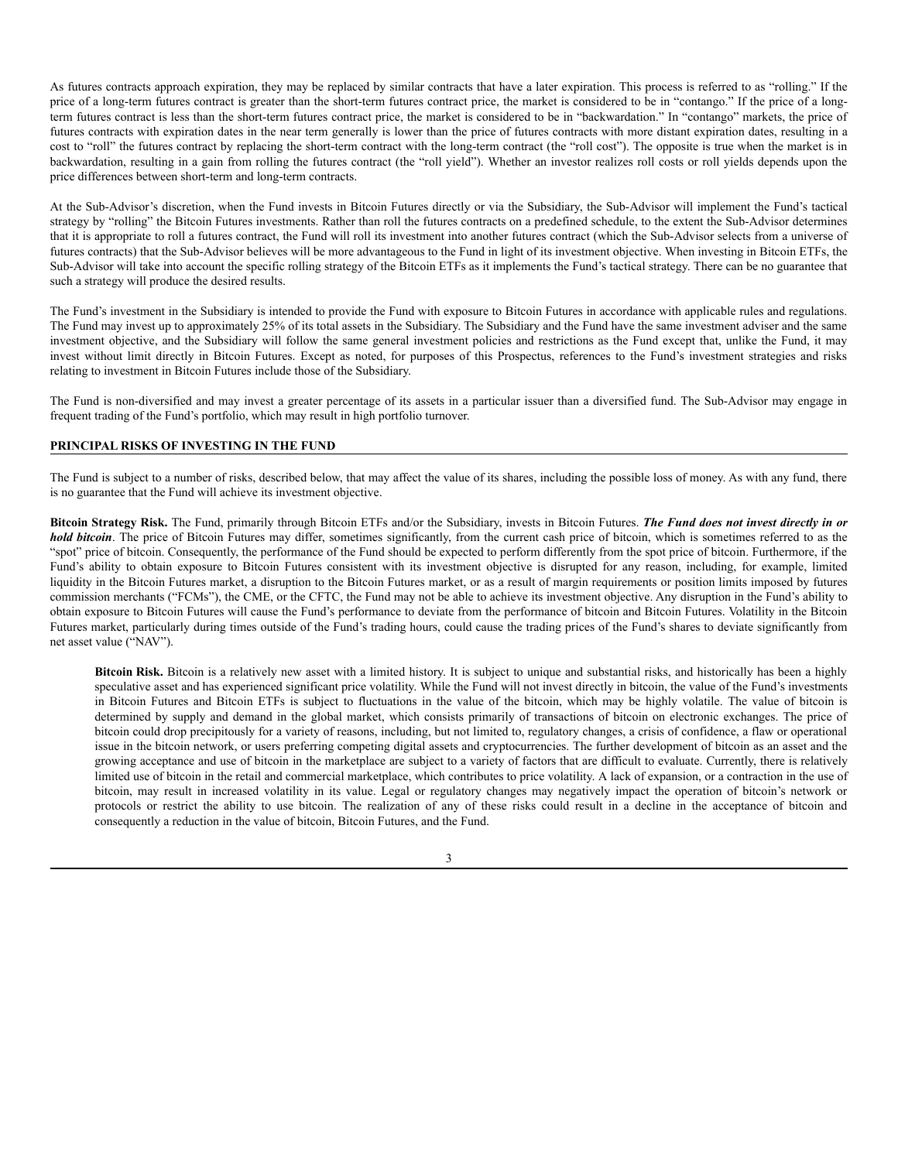As futures contracts approach expiration, they may be replaced by similar contracts that have a later expiration. This process is referred to as "rolling." If the price of a long-term futures contract is greater than the short-term futures contract price, the market is considered to be in "contango." If the price of a longterm futures contract is less than the short-term futures contract price, the market is considered to be in "backwardation." In "contango" markets, the price of futures contracts with expiration dates in the near term generally is lower than the price of futures contracts with more distant expiration dates, resulting in a cost to "roll" the futures contract by replacing the short-term contract with the long-term contract (the "roll cost"). The opposite is true when the market is in backwardation, resulting in a gain from rolling the futures contract (the "roll yield"). Whether an investor realizes roll costs or roll yields depends upon the price differences between short-term and long-term contracts.

At the Sub-Advisor's discretion, when the Fund invests in Bitcoin Futures directly or via the Subsidiary, the Sub-Advisor will implement the Fund's tactical strategy by "rolling" the Bitcoin Futures investments. Rather than roll the futures contracts on a predefined schedule, to the extent the Sub-Advisor determines that it is appropriate to roll a futures contract, the Fund will roll its investment into another futures contract (which the Sub-Advisor selects from a universe of futures contracts) that the Sub-Advisor believes will be more advantageous to the Fund in light of its investment objective. When investing in Bitcoin ETFs, the Sub-Advisor will take into account the specific rolling strategy of the Bitcoin ETFs as it implements the Fund's tactical strategy. There can be no guarantee that such a strategy will produce the desired results.

The Fund's investment in the Subsidiary is intended to provide the Fund with exposure to Bitcoin Futures in accordance with applicable rules and regulations. The Fund may invest up to approximately 25% of its total assets in the Subsidiary. The Subsidiary and the Fund have the same investment adviser and the same investment objective, and the Subsidiary will follow the same general investment policies and restrictions as the Fund except that, unlike the Fund, it may invest without limit directly in Bitcoin Futures. Except as noted, for purposes of this Prospectus, references to the Fund's investment strategies and risks relating to investment in Bitcoin Futures include those of the Subsidiary.

The Fund is non-diversified and may invest a greater percentage of its assets in a particular issuer than a diversified fund. The Sub-Advisor may engage in frequent trading of the Fund's portfolio, which may result in high portfolio turnover.

# **PRINCIPAL RISKS OF INVESTING IN THE FUND**

The Fund is subject to a number of risks, described below, that may affect the value of its shares, including the possible loss of money. As with any fund, there is no guarantee that the Fund will achieve its investment objective.

Bitcoin Strategy Risk. The Fund, primarily through Bitcoin ETFs and/or the Subsidiary, invests in Bitcoin Futures. The Fund does not invest directly in or *hold bitcoin*. The price of Bitcoin Futures may differ, sometimes significantly, from the current cash price of bitcoin, which is sometimes referred to as the "spot" price of bitcoin. Consequently, the performance of the Fund should be expected to perform differently from the spot price of bitcoin. Furthermore, if the Fund's ability to obtain exposure to Bitcoin Futures consistent with its investment objective is disrupted for any reason, including, for example, limited liquidity in the Bitcoin Futures market, a disruption to the Bitcoin Futures market, or as a result of margin requirements or position limits imposed by futures commission merchants ("FCMs"), the CME, or the CFTC, the Fund may not be able to achieve its investment objective. Any disruption in the Fund's ability to obtain exposure to Bitcoin Futures will cause the Fund's performance to deviate from the performance of bitcoin and Bitcoin Futures. Volatility in the Bitcoin Futures market, particularly during times outside of the Fund's trading hours, could cause the trading prices of the Fund's shares to deviate significantly from net asset value ("NAV").

**Bitcoin Risk.** Bitcoin is a relatively new asset with a limited history. It is subject to unique and substantial risks, and historically has been a highly speculative asset and has experienced significant price volatility. While the Fund will not invest directly in bitcoin, the value of the Fund's investments in Bitcoin Futures and Bitcoin ETFs is subject to fluctuations in the value of the bitcoin, which may be highly volatile. The value of bitcoin is determined by supply and demand in the global market, which consists primarily of transactions of bitcoin on electronic exchanges. The price of bitcoin could drop precipitously for a variety of reasons, including, but not limited to, regulatory changes, a crisis of confidence, a flaw or operational issue in the bitcoin network, or users preferring competing digital assets and cryptocurrencies. The further development of bitcoin as an asset and the growing acceptance and use of bitcoin in the marketplace are subject to a variety of factors that are difficult to evaluate. Currently, there is relatively limited use of bitcoin in the retail and commercial marketplace, which contributes to price volatility. A lack of expansion, or a contraction in the use of bitcoin, may result in increased volatility in its value. Legal or regulatory changes may negatively impact the operation of bitcoin's network or protocols or restrict the ability to use bitcoin. The realization of any of these risks could result in a decline in the acceptance of bitcoin and consequently a reduction in the value of bitcoin, Bitcoin Futures, and the Fund.

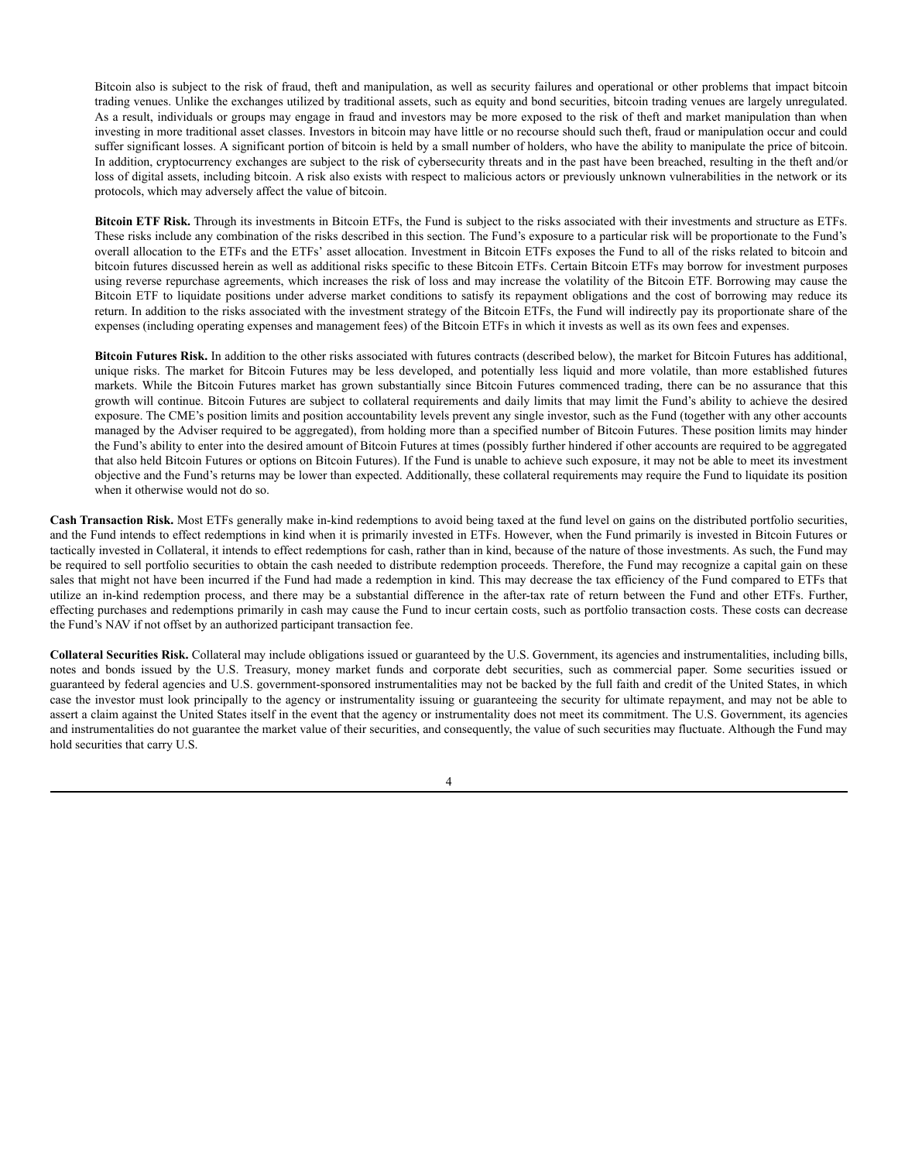Bitcoin also is subject to the risk of fraud, theft and manipulation, as well as security failures and operational or other problems that impact bitcoin trading venues. Unlike the exchanges utilized by traditional assets, such as equity and bond securities, bitcoin trading venues are largely unregulated. As a result, individuals or groups may engage in fraud and investors may be more exposed to the risk of theft and market manipulation than when investing in more traditional asset classes. Investors in bitcoin may have little or no recourse should such theft, fraud or manipulation occur and could suffer significant losses. A significant portion of bitcoin is held by a small number of holders, who have the ability to manipulate the price of bitcoin. In addition, cryptocurrency exchanges are subject to the risk of cybersecurity threats and in the past have been breached, resulting in the theft and/or loss of digital assets, including bitcoin. A risk also exists with respect to malicious actors or previously unknown vulnerabilities in the network or its protocols, which may adversely affect the value of bitcoin.

**Bitcoin ETF Risk.** Through its investments in Bitcoin ETFs, the Fund is subject to the risks associated with their investments and structure as ETFs. These risks include any combination of the risks described in this section. The Fund's exposure to a particular risk will be proportionate to the Fund's overall allocation to the ETFs and the ETFs' asset allocation. Investment in Bitcoin ETFs exposes the Fund to all of the risks related to bitcoin and bitcoin futures discussed herein as well as additional risks specific to these Bitcoin ETFs. Certain Bitcoin ETFs may borrow for investment purposes using reverse repurchase agreements, which increases the risk of loss and may increase the volatility of the Bitcoin ETF. Borrowing may cause the Bitcoin ETF to liquidate positions under adverse market conditions to satisfy its repayment obligations and the cost of borrowing may reduce its return. In addition to the risks associated with the investment strategy of the Bitcoin ETFs, the Fund will indirectly pay its proportionate share of the expenses (including operating expenses and management fees) of the Bitcoin ETFs in which it invests as well as its own fees and expenses.

**Bitcoin Futures Risk.** In addition to the other risks associated with futures contracts (described below), the market for Bitcoin Futures has additional, unique risks. The market for Bitcoin Futures may be less developed, and potentially less liquid and more volatile, than more established futures markets. While the Bitcoin Futures market has grown substantially since Bitcoin Futures commenced trading, there can be no assurance that this growth will continue. Bitcoin Futures are subject to collateral requirements and daily limits that may limit the Fund's ability to achieve the desired exposure. The CME's position limits and position accountability levels prevent any single investor, such as the Fund (together with any other accounts managed by the Adviser required to be aggregated), from holding more than a specified number of Bitcoin Futures. These position limits may hinder the Fund's ability to enter into the desired amount of Bitcoin Futures at times (possibly further hindered if other accounts are required to be aggregated that also held Bitcoin Futures or options on Bitcoin Futures). If the Fund is unable to achieve such exposure, it may not be able to meet its investment objective and the Fund's returns may be lower than expected. Additionally, these collateral requirements may require the Fund to liquidate its position when it otherwise would not do so.

**Cash Transaction Risk.** Most ETFs generally make in-kind redemptions to avoid being taxed at the fund level on gains on the distributed portfolio securities, and the Fund intends to effect redemptions in kind when it is primarily invested in ETFs. However, when the Fund primarily is invested in Bitcoin Futures or tactically invested in Collateral, it intends to effect redemptions for cash, rather than in kind, because of the nature of those investments. As such, the Fund may be required to sell portfolio securities to obtain the cash needed to distribute redemption proceeds. Therefore, the Fund may recognize a capital gain on these sales that might not have been incurred if the Fund had made a redemption in kind. This may decrease the tax efficiency of the Fund compared to ETFs that utilize an in-kind redemption process, and there may be a substantial difference in the after-tax rate of return between the Fund and other ETFs. Further, effecting purchases and redemptions primarily in cash may cause the Fund to incur certain costs, such as portfolio transaction costs. These costs can decrease the Fund's NAV if not offset by an authorized participant transaction fee.

**Collateral Securities Risk.** Collateral may include obligations issued or guaranteed by the U.S. Government, its agencies and instrumentalities, including bills, notes and bonds issued by the U.S. Treasury, money market funds and corporate debt securities, such as commercial paper. Some securities issued or guaranteed by federal agencies and U.S. government-sponsored instrumentalities may not be backed by the full faith and credit of the United States, in which case the investor must look principally to the agency or instrumentality issuing or guaranteeing the security for ultimate repayment, and may not be able to assert a claim against the United States itself in the event that the agency or instrumentality does not meet its commitment. The U.S. Government, its agencies and instrumentalities do not guarantee the market value of their securities, and consequently, the value of such securities may fluctuate. Although the Fund may hold securities that carry U.S.

4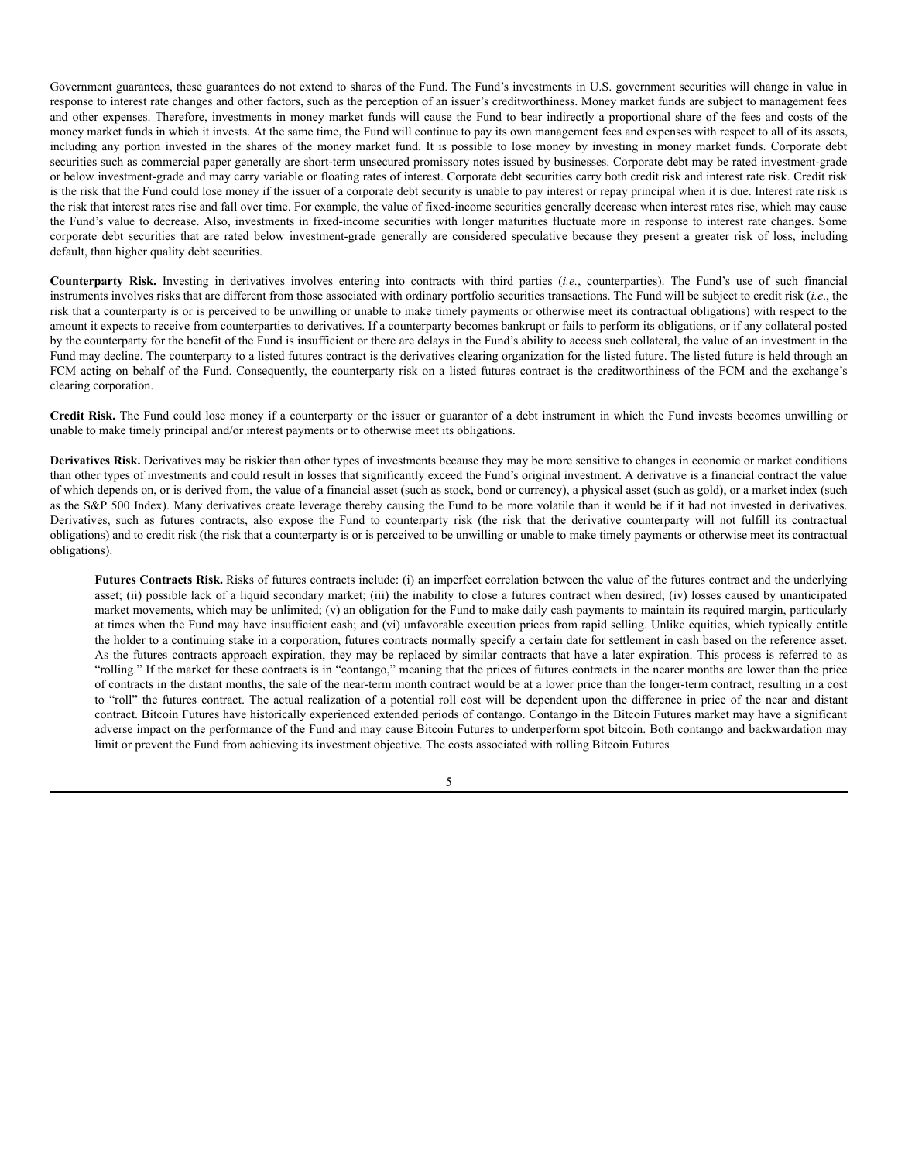Government guarantees, these guarantees do not extend to shares of the Fund. The Fund's investments in U.S. government securities will change in value in response to interest rate changes and other factors, such as the perception of an issuer's creditworthiness. Money market funds are subject to management fees and other expenses. Therefore, investments in money market funds will cause the Fund to bear indirectly a proportional share of the fees and costs of the money market funds in which it invests. At the same time, the Fund will continue to pay its own management fees and expenses with respect to all of its assets, including any portion invested in the shares of the money market fund. It is possible to lose money by investing in money market funds. Corporate debt securities such as commercial paper generally are short-term unsecured promissory notes issued by businesses. Corporate debt may be rated investment-grade or below investment-grade and may carry variable or floating rates of interest. Corporate debt securities carry both credit risk and interest rate risk. Credit risk is the risk that the Fund could lose money if the issuer of a corporate debt security is unable to pay interest or repay principal when it is due. Interest rate risk is the risk that interest rates rise and fall over time. For example, the value of fixed-income securities generally decrease when interest rates rise, which may cause the Fund's value to decrease. Also, investments in fixed-income securities with longer maturities fluctuate more in response to interest rate changes. Some corporate debt securities that are rated below investment-grade generally are considered speculative because they present a greater risk of loss, including default, than higher quality debt securities.

**Counterparty Risk.** Investing in derivatives involves entering into contracts with third parties (*i.e.*, counterparties). The Fund's use of such financial instruments involves risks that are different from those associated with ordinary portfolio securities transactions. The Fund will be subject to credit risk (*i.e*., the risk that a counterparty is or is perceived to be unwilling or unable to make timely payments or otherwise meet its contractual obligations) with respect to the amount it expects to receive from counterparties to derivatives. If a counterparty becomes bankrupt or fails to perform its obligations, or if any collateral posted by the counterparty for the benefit of the Fund is insufficient or there are delays in the Fund's ability to access such collateral, the value of an investment in the Fund may decline. The counterparty to a listed futures contract is the derivatives clearing organization for the listed future. The listed future is held through an FCM acting on behalf of the Fund. Consequently, the counterparty risk on a listed futures contract is the creditworthiness of the FCM and the exchange's clearing corporation.

**Credit Risk.** The Fund could lose money if a counterparty or the issuer or guarantor of a debt instrument in which the Fund invests becomes unwilling or unable to make timely principal and/or interest payments or to otherwise meet its obligations.

**Derivatives Risk.** Derivatives may be riskier than other types of investments because they may be more sensitive to changes in economic or market conditions than other types of investments and could result in losses that significantly exceed the Fund's original investment. A derivative is a financial contract the value of which depends on, or is derived from, the value of a financial asset (such as stock, bond or currency), a physical asset (such as gold), or a market index (such as the S&P 500 Index). Many derivatives create leverage thereby causing the Fund to be more volatile than it would be if it had not invested in derivatives. Derivatives, such as futures contracts, also expose the Fund to counterparty risk (the risk that the derivative counterparty will not fulfill its contractual obligations) and to credit risk (the risk that a counterparty is or is perceived to be unwilling or unable to make timely payments or otherwise meet its contractual obligations).

**Futures Contracts Risk.** Risks of futures contracts include: (i) an imperfect correlation between the value of the futures contract and the underlying asset; (ii) possible lack of a liquid secondary market; (iii) the inability to close a futures contract when desired; (iv) losses caused by unanticipated market movements, which may be unlimited; (v) an obligation for the Fund to make daily cash payments to maintain its required margin, particularly at times when the Fund may have insufficient cash; and (vi) unfavorable execution prices from rapid selling. Unlike equities, which typically entitle the holder to a continuing stake in a corporation, futures contracts normally specify a certain date for settlement in cash based on the reference asset. As the futures contracts approach expiration, they may be replaced by similar contracts that have a later expiration. This process is referred to as "rolling." If the market for these contracts is in "contango," meaning that the prices of futures contracts in the nearer months are lower than the price of contracts in the distant months, the sale of the near-term month contract would be at a lower price than the longer-term contract, resulting in a cost to "roll" the futures contract. The actual realization of a potential roll cost will be dependent upon the difference in price of the near and distant contract. Bitcoin Futures have historically experienced extended periods of contango. Contango in the Bitcoin Futures market may have a significant adverse impact on the performance of the Fund and may cause Bitcoin Futures to underperform spot bitcoin. Both contango and backwardation may limit or prevent the Fund from achieving its investment objective. The costs associated with rolling Bitcoin Futures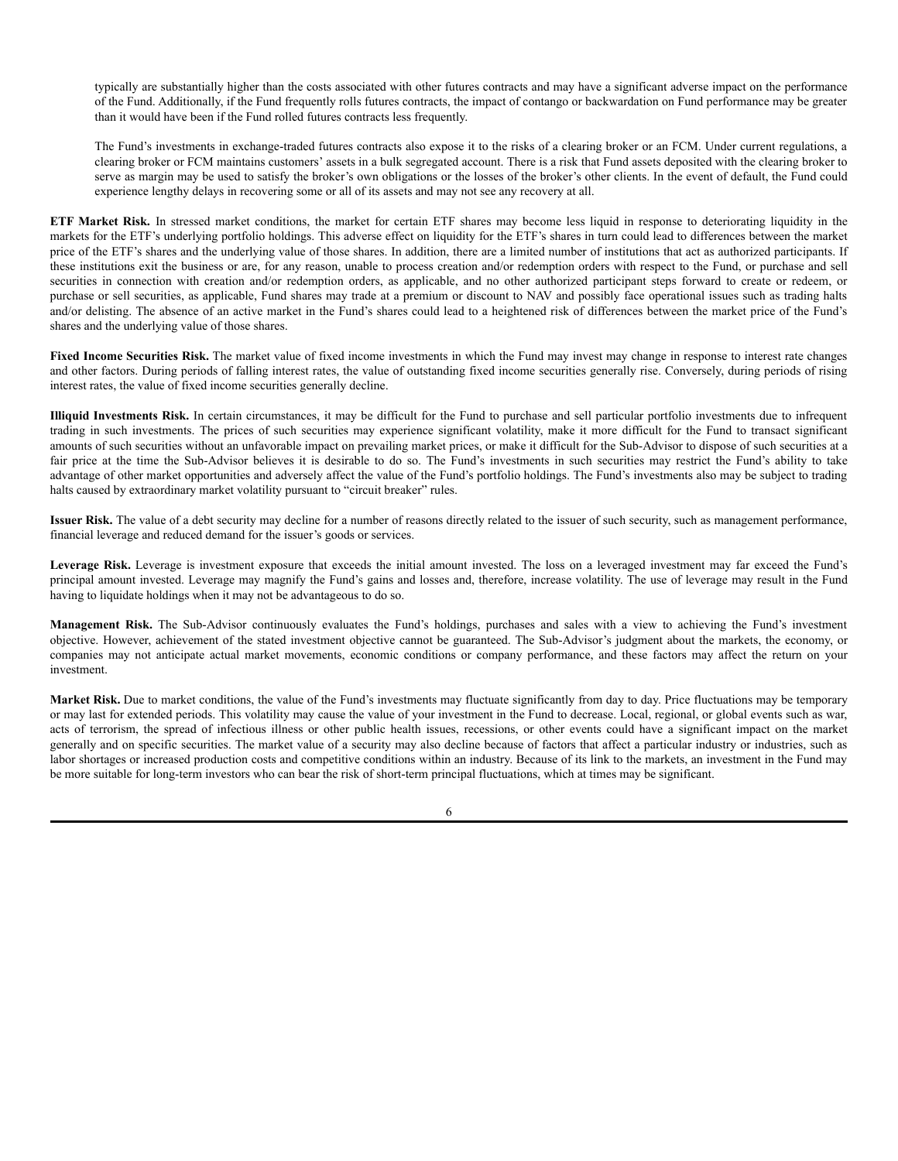typically are substantially higher than the costs associated with other futures contracts and may have a significant adverse impact on the performance of the Fund. Additionally, if the Fund frequently rolls futures contracts, the impact of contango or backwardation on Fund performance may be greater than it would have been if the Fund rolled futures contracts less frequently.

The Fund's investments in exchange-traded futures contracts also expose it to the risks of a clearing broker or an FCM. Under current regulations, a clearing broker or FCM maintains customers' assets in a bulk segregated account. There is a risk that Fund assets deposited with the clearing broker to serve as margin may be used to satisfy the broker's own obligations or the losses of the broker's other clients. In the event of default, the Fund could experience lengthy delays in recovering some or all of its assets and may not see any recovery at all.

**ETF Market Risk.** In stressed market conditions, the market for certain ETF shares may become less liquid in response to deteriorating liquidity in the markets for the ETF's underlying portfolio holdings. This adverse effect on liquidity for the ETF's shares in turn could lead to differences between the market price of the ETF's shares and the underlying value of those shares. In addition, there are a limited number of institutions that act as authorized participants. If these institutions exit the business or are, for any reason, unable to process creation and/or redemption orders with respect to the Fund, or purchase and sell securities in connection with creation and/or redemption orders, as applicable, and no other authorized participant steps forward to create or redeem, or purchase or sell securities, as applicable, Fund shares may trade at a premium or discount to NAV and possibly face operational issues such as trading halts and/or delisting. The absence of an active market in the Fund's shares could lead to a heightened risk of differences between the market price of the Fund's shares and the underlying value of those shares.

**Fixed Income Securities Risk.** The market value of fixed income investments in which the Fund may invest may change in response to interest rate changes and other factors. During periods of falling interest rates, the value of outstanding fixed income securities generally rise. Conversely, during periods of rising interest rates, the value of fixed income securities generally decline.

**Illiquid Investments Risk.** In certain circumstances, it may be difficult for the Fund to purchase and sell particular portfolio investments due to infrequent trading in such investments. The prices of such securities may experience significant volatility, make it more difficult for the Fund to transact significant amounts of such securities without an unfavorable impact on prevailing market prices, or make it difficult for the Sub-Advisor to dispose of such securities at a fair price at the time the Sub-Advisor believes it is desirable to do so. The Fund's investments in such securities may restrict the Fund's ability to take advantage of other market opportunities and adversely affect the value of the Fund's portfolio holdings. The Fund's investments also may be subject to trading halts caused by extraordinary market volatility pursuant to "circuit breaker" rules.

**Issuer Risk.** The value of a debt security may decline for a number of reasons directly related to the issuer of such security, such as management performance, financial leverage and reduced demand for the issuer's goods or services.

**Leverage Risk.** Leverage is investment exposure that exceeds the initial amount invested. The loss on a leveraged investment may far exceed the Fund's principal amount invested. Leverage may magnify the Fund's gains and losses and, therefore, increase volatility. The use of leverage may result in the Fund having to liquidate holdings when it may not be advantageous to do so.

**Management Risk.** The Sub-Advisor continuously evaluates the Fund's holdings, purchases and sales with a view to achieving the Fund's investment objective. However, achievement of the stated investment objective cannot be guaranteed. The Sub-Advisor's judgment about the markets, the economy, or companies may not anticipate actual market movements, economic conditions or company performance, and these factors may affect the return on your investment.

**Market Risk.** Due to market conditions, the value of the Fund's investments may fluctuate significantly from day to day. Price fluctuations may be temporary or may last for extended periods. This volatility may cause the value of your investment in the Fund to decrease. Local, regional, or global events such as war, acts of terrorism, the spread of infectious illness or other public health issues, recessions, or other events could have a significant impact on the market generally and on specific securities. The market value of a security may also decline because of factors that affect a particular industry or industries, such as labor shortages or increased production costs and competitive conditions within an industry. Because of its link to the markets, an investment in the Fund may be more suitable for long-term investors who can bear the risk of short-term principal fluctuations, which at times may be significant.

6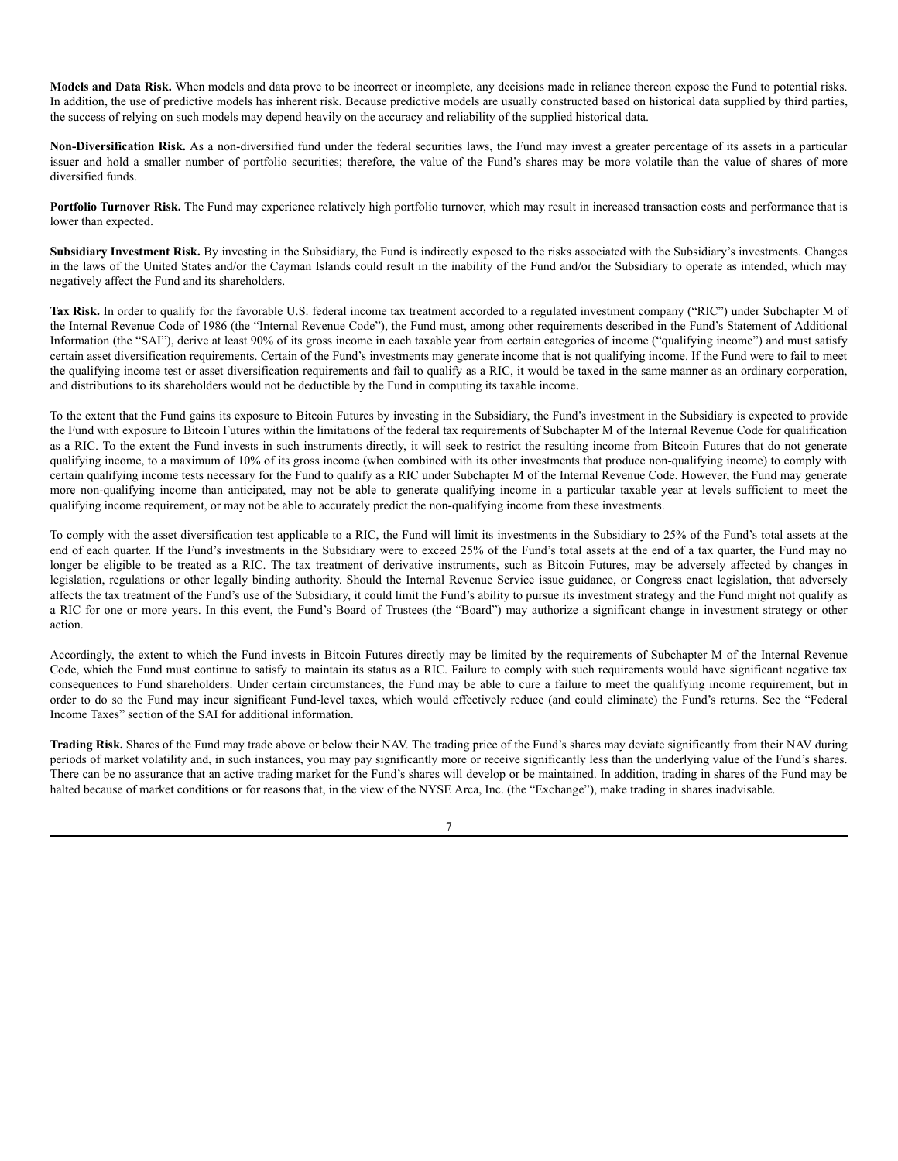**Models and Data Risk.** When models and data prove to be incorrect or incomplete, any decisions made in reliance thereon expose the Fund to potential risks. In addition, the use of predictive models has inherent risk. Because predictive models are usually constructed based on historical data supplied by third parties, the success of relying on such models may depend heavily on the accuracy and reliability of the supplied historical data.

**Non-Diversification Risk.** As a non-diversified fund under the federal securities laws, the Fund may invest a greater percentage of its assets in a particular issuer and hold a smaller number of portfolio securities; therefore, the value of the Fund's shares may be more volatile than the value of shares of more diversified funds.

**Portfolio Turnover Risk.** The Fund may experience relatively high portfolio turnover, which may result in increased transaction costs and performance that is lower than expected.

**Subsidiary Investment Risk.** By investing in the Subsidiary, the Fund is indirectly exposed to the risks associated with the Subsidiary's investments. Changes in the laws of the United States and/or the Cayman Islands could result in the inability of the Fund and/or the Subsidiary to operate as intended, which may negatively affect the Fund and its shareholders.

**Tax Risk.** In order to qualify for the favorable U.S. federal income tax treatment accorded to a regulated investment company ("RIC") under Subchapter M of the Internal Revenue Code of 1986 (the "Internal Revenue Code"), the Fund must, among other requirements described in the Fund's Statement of Additional Information (the "SAI"), derive at least 90% of its gross income in each taxable year from certain categories of income ("qualifying income") and must satisfy certain asset diversification requirements. Certain of the Fund's investments may generate income that is not qualifying income. If the Fund were to fail to meet the qualifying income test or asset diversification requirements and fail to qualify as a RIC, it would be taxed in the same manner as an ordinary corporation, and distributions to its shareholders would not be deductible by the Fund in computing its taxable income.

To the extent that the Fund gains its exposure to Bitcoin Futures by investing in the Subsidiary, the Fund's investment in the Subsidiary is expected to provide the Fund with exposure to Bitcoin Futures within the limitations of the federal tax requirements of Subchapter M of the Internal Revenue Code for qualification as a RIC. To the extent the Fund invests in such instruments directly, it will seek to restrict the resulting income from Bitcoin Futures that do not generate qualifying income, to a maximum of 10% of its gross income (when combined with its other investments that produce non-qualifying income) to comply with certain qualifying income tests necessary for the Fund to qualify as a RIC under Subchapter M of the Internal Revenue Code. However, the Fund may generate more non-qualifying income than anticipated, may not be able to generate qualifying income in a particular taxable year at levels sufficient to meet the qualifying income requirement, or may not be able to accurately predict the non-qualifying income from these investments.

To comply with the asset diversification test applicable to a RIC, the Fund will limit its investments in the Subsidiary to 25% of the Fund's total assets at the end of each quarter. If the Fund's investments in the Subsidiary were to exceed 25% of the Fund's total assets at the end of a tax quarter, the Fund may no longer be eligible to be treated as a RIC. The tax treatment of derivative instruments, such as Bitcoin Futures, may be adversely affected by changes in legislation, regulations or other legally binding authority. Should the Internal Revenue Service issue guidance, or Congress enact legislation, that adversely affects the tax treatment of the Fund's use of the Subsidiary, it could limit the Fund's ability to pursue its investment strategy and the Fund might not qualify as a RIC for one or more years. In this event, the Fund's Board of Trustees (the "Board") may authorize a significant change in investment strategy or other action.

Accordingly, the extent to which the Fund invests in Bitcoin Futures directly may be limited by the requirements of Subchapter M of the Internal Revenue Code, which the Fund must continue to satisfy to maintain its status as a RIC. Failure to comply with such requirements would have significant negative tax consequences to Fund shareholders. Under certain circumstances, the Fund may be able to cure a failure to meet the qualifying income requirement, but in order to do so the Fund may incur significant Fund-level taxes, which would effectively reduce (and could eliminate) the Fund's returns. See the "Federal Income Taxes" section of the SAI for additional information.

**Trading Risk.** Shares of the Fund may trade above or below their NAV. The trading price of the Fund's shares may deviate significantly from their NAV during periods of market volatility and, in such instances, you may pay significantly more or receive significantly less than the underlying value of the Fund's shares. There can be no assurance that an active trading market for the Fund's shares will develop or be maintained. In addition, trading in shares of the Fund may be halted because of market conditions or for reasons that, in the view of the NYSE Arca, Inc. (the "Exchange"), make trading in shares inadvisable.